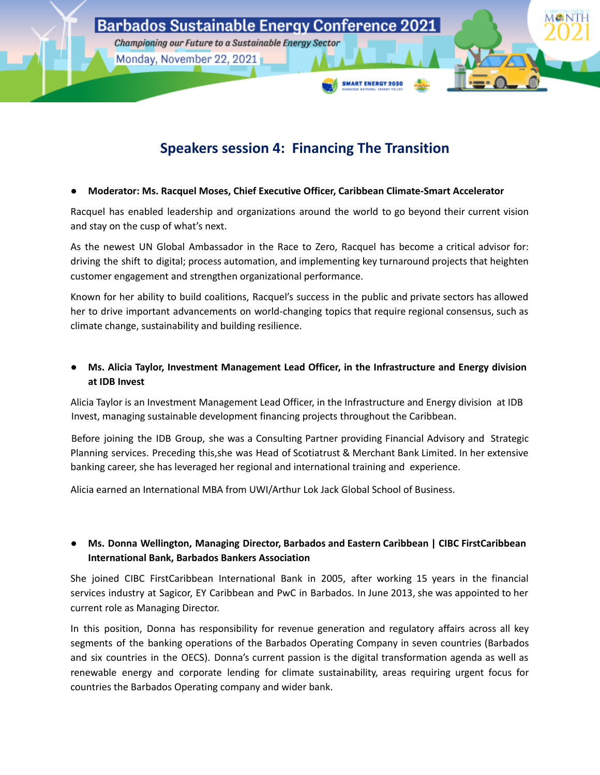

# **Speakers session 4: Financing The Transition**

### **● Moderator: Ms. Racquel Moses, Chief Executive Officer, Caribbean Climate-Smart Accelerator**

Racquel has enabled leadership and organizations around the world to go beyond their current vision and stay on the cusp of what's next.

As the newest UN Global Ambassador in the Race to Zero, Racquel has become a critical advisor for: driving the shift to digital; process automation, and implementing key turnaround projects that heighten customer engagement and strengthen organizational performance.

Known for her ability to build coalitions, Racquel's success in the public and private sectors has allowed her to drive important advancements on world-changing topics that require regional consensus, such as climate change, sustainability and building resilience.

**● Ms. Alicia Taylor, Investment Management Lead Officer, in the Infrastructure and Energy division at IDB Invest**

Alicia Taylor is an Investment Management Lead Officer, in the Infrastructure and Energy division at IDB Invest, managing sustainable development financing projects throughout the Caribbean.

Before joining the IDB Group, she was a Consulting Partner providing Financial Advisory and Strategic Planning services. Preceding this,she was Head of Scotiatrust & Merchant Bank Limited. In her extensive banking career, she has leveraged her regional and international training and experience.

Alicia earned an International MBA from UWI/Arthur Lok Jack Global School of Business.

# **● Ms. Donna Wellington, Managing Director, Barbados and Eastern Caribbean | CIBC FirstCaribbean International Bank, Barbados Bankers Association**

She joined CIBC FirstCaribbean International Bank in 2005, after working 15 years in the financial services industry at Sagicor, EY Caribbean and PwC in Barbados. In June 2013, she was appointed to her current role as Managing Director.

In this position, Donna has responsibility for revenue generation and regulatory affairs across all key segments of the banking operations of the Barbados Operating Company in seven countries (Barbados and six countries in the OECS). Donna's current passion is the digital transformation agenda as well as renewable energy and corporate lending for climate sustainability, areas requiring urgent focus for countries the Barbados Operating company and wider bank.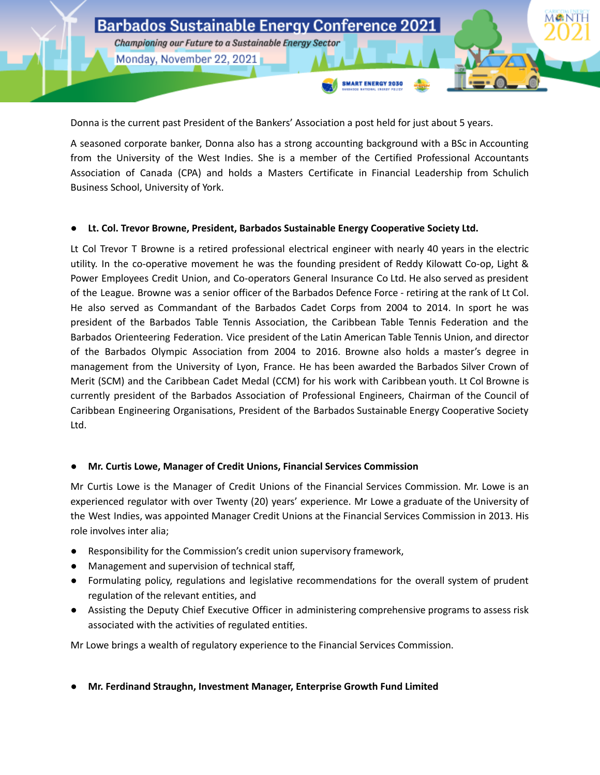

Donna is the current past President of the Bankers' Association a post held for just about 5 years.

A seasoned corporate banker, Donna also has a strong accounting background with a BSc in Accounting from the University of the West Indies. She is a member of the Certified Professional Accountants Association of Canada (CPA) and holds a Masters Certificate in Financial Leadership from Schulich Business School, University of York.

#### **● Lt. Col. Trevor Browne, President, Barbados Sustainable Energy Cooperative Society Ltd.**

Lt Col Trevor T Browne is a retired professional electrical engineer with nearly 40 years in the electric utility. In the co-operative movement he was the founding president of Reddy Kilowatt Co-op, Light & Power Employees Credit Union, and Co-operators General Insurance Co Ltd. He also served as president of the League. Browne was a senior officer of the Barbados Defence Force - retiring at the rank of Lt Col. He also served as Commandant of the Barbados Cadet Corps from 2004 to 2014. In sport he was president of the Barbados Table Tennis Association, the Caribbean Table Tennis Federation and the Barbados Orienteering Federation. Vice president of the Latin American Table Tennis Union, and director of the Barbados Olympic Association from 2004 to 2016. Browne also holds a master's degree in management from the University of Lyon, France. He has been awarded the Barbados Silver Crown of Merit (SCM) and the Caribbean Cadet Medal (CCM) for his work with Caribbean youth. Lt Col Browne is currently president of the Barbados Association of Professional Engineers, Chairman of the Council of Caribbean Engineering Organisations, President of the Barbados Sustainable Energy Cooperative Society Ltd.

#### **● Mr. Curtis Lowe, Manager of Credit Unions, Financial Services Commission**

Mr Curtis Lowe is the Manager of Credit Unions of the Financial Services Commission. Mr. Lowe is an experienced regulator with over Twenty (20) years' experience. Mr Lowe a graduate of the University of the West Indies, was appointed Manager Credit Unions at the Financial Services Commission in 2013. His role involves inter alia;

- Responsibility for the Commission's credit union supervisory framework,
- Management and supervision of technical staff,
- Formulating policy, regulations and legislative recommendations for the overall system of prudent regulation of the relevant entities, and
- Assisting the Deputy Chief Executive Officer in administering comprehensive programs to assess risk associated with the activities of regulated entities.

Mr Lowe brings a wealth of regulatory experience to the Financial Services Commission.

## **● Mr. Ferdinand Straughn, Investment Manager, Enterprise Growth Fund Limited**